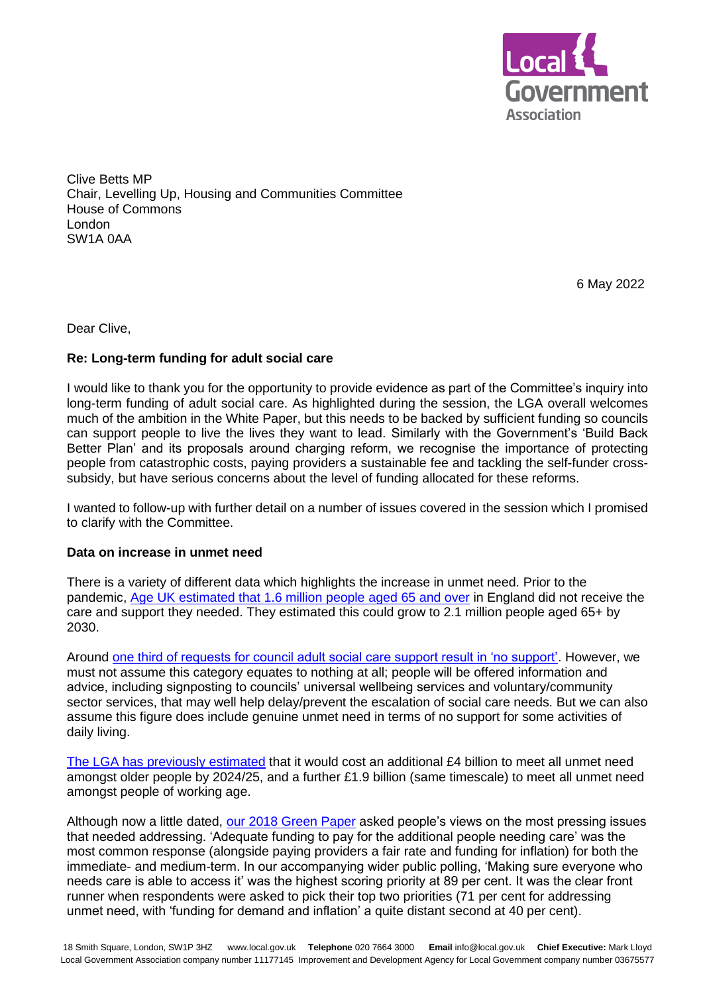

Clive Betts MP Chair, Levelling Up, Housing and Communities Committee House of Commons London SW1A 0AA

6 May 2022

Dear Clive,

# **Re: Long-term funding for adult social care**

I would like to thank you for the opportunity to provide evidence as part of the Committee's inquiry into long-term funding of adult social care. As highlighted during the session, the LGA overall welcomes much of the ambition in the White Paper, but this needs to be backed by sufficient funding so councils can support people to live the lives they want to lead. Similarly with the Government's 'Build Back Better Plan' and its proposals around charging reform, we recognise the importance of protecting people from catastrophic costs, paying providers a sustainable fee and tackling the self-funder crosssubsidy, but have serious concerns about the level of funding allocated for these reforms.

I wanted to follow-up with further detail on a number of issues covered in the session which I promised to clarify with the Committee.

## **Data on increase in unmet need**

There is a variety of different data which highlights the increase in unmet need. Prior to the pandemic, Age UK [estimated that 1.6 million people aged 65 and over](https://www.ageuk.org.uk/latest-press/articles/2021/new-analysis-finds-the-pandemic-has-significantly-increased-older-peoples-need-for-social-care/#:~:text=Before%20the%20pandemic%20struck%20Age,2.1%20million%20people%20by%202030.) in England did not receive the care and support they needed. They estimated this could grow to 2.1 million people aged 65+ by 2030.

Around [one third of requests for council adult social care support result in 'no support'.](https://digital.nhs.uk/data-and-information/publications/statistical/adult-social-care-activity-and-finance-report/2020-21/2.-requests-for-support) However, we must not assume this category equates to nothing at all; people will be offered information and advice, including signposting to councils' universal wellbeing services and voluntary/community sector services, that may well help delay/prevent the escalation of social care needs. But we can also assume this figure does include genuine unmet need in terms of no support for some activities of daily living.

The LGA has [previously estimated](https://www.local.gov.uk/parliament/briefings-and-responses/lga-response-people-heart-care-adult-social-care-reform-white) that it would cost an additional £4 billion to meet all unmet need amongst older people by 2024/25, and a further £1.9 billion (same timescale) to meet all unmet need amongst people of working age.

Although now a little dated, [our 2018 Green Paper](https://www.local.gov.uk/lives-we-want-lead-lga-green-paper-adult-social-care) asked people's views on the most pressing issues that needed addressing. 'Adequate funding to pay for the additional people needing care' was the most common response (alongside paying providers a fair rate and funding for inflation) for both the immediate- and medium-term. In our accompanying wider public polling, 'Making sure everyone who needs care is able to access it' was the highest scoring priority at 89 per cent. It was the clear front runner when respondents were asked to pick their top two priorities (71 per cent for addressing unmet need, with 'funding for demand and inflation' a quite distant second at 40 per cent).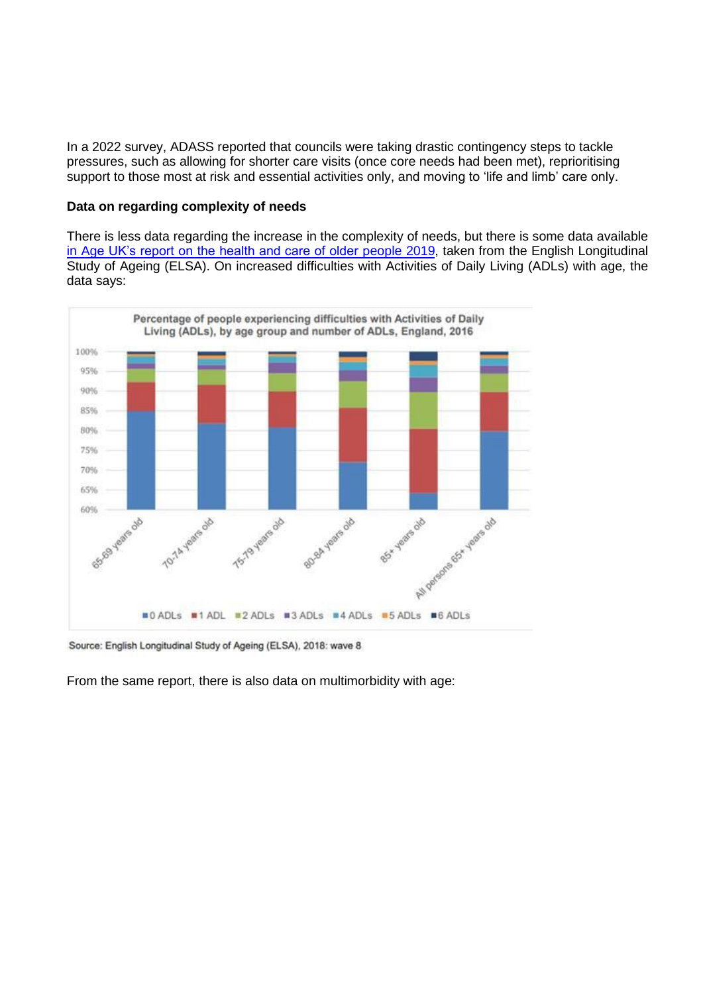In a 2022 survey, ADASS reported that councils were taking drastic contingency steps to tackle pressures, such as allowing for shorter care visits (once core needs had been met), reprioritising support to those most at risk and essential activities only, and moving to 'life and limb' care only.

## **Data on regarding complexity of needs**

There is less data regarding the increase in the complexity of needs, but there is some data available [in Age UK's report on the health and care of older people 2019,](https://www.ageuk.org.uk/globalassets/age-uk/documents/reports-and-publications/reports-and-briefings/health--wellbeing/age_uk_briefing_state_of_health_and_care_of_older_people_july2019.pdf) taken from the English Longitudinal Study of Ageing (ELSA). On increased difficulties with Activities of Daily Living (ADLs) with age, the data says:



Source: English Longitudinal Study of Ageing (ELSA), 2018: wave 8

From the same report, there is also data on multimorbidity with age: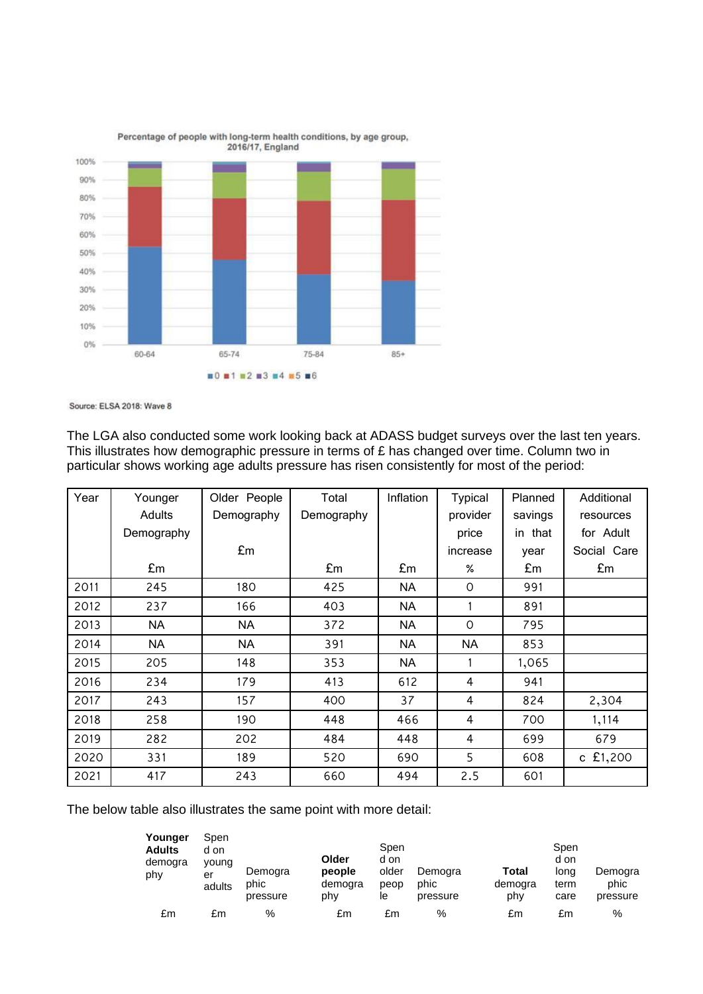

Percentage of people with long-term health conditions, by age group,

Source: ELSA 2018: Wave 8

The LGA also conducted some work looking back at ADASS budget surveys over the last ten years. This illustrates how demographic pressure in terms of £ has changed over time. Column two in particular shows working age adults pressure has risen consistently for most of the period:

| Year | Younger    | Older People | Total      | Inflation | <b>Typical</b> | Planned | Additional  |
|------|------------|--------------|------------|-----------|----------------|---------|-------------|
|      | Adults     | Demography   | Demography |           | provider       | savings | resources   |
|      | Demography |              |            |           | price          | in that | for Adult   |
|      |            | £m           |            |           | increase       | year    | Social Care |
|      | £m         |              | £m         | £m        | %              | £m      | £m          |
| 2011 | 245        | 180          | 425        | <b>NA</b> | 0              | 991     |             |
| 2012 | 237        | 166          | 403        | NA        |                | 891     |             |
| 2013 | <b>NA</b>  | <b>NA</b>    | 372        | <b>NA</b> | $\circ$        | 795     |             |
| 2014 | <b>NA</b>  | <b>NA</b>    | 391        | NA        | <b>NA</b>      | 853     |             |
| 2015 | 205        | 148          | 353        | <b>NA</b> |                | 1,065   |             |
| 2016 | 234        | 179          | 413        | 612       | 4              | 941     |             |
| 2017 | 243        | 157          | 400        | 37        | 4              | 824     | 2,304       |
| 2018 | 258        | 190          | 448        | 466       | 4              | 700     | 1,114       |
| 2019 | 282        | 202          | 484        | 448       | $\overline{4}$ | 699     | 679         |
| 2020 | 331        | 189          | 520        | 690       | 5              | 608     | c £1,200    |
| 2021 | 417        | 243          | 660        | 494       | 2.5            | 601     |             |

The below table also illustrates the same point with more detail:

| Younger<br><b>Adults</b><br>demogra<br>phy | Spen<br>d on<br>young<br>er<br>adults | Demogra<br>phic<br>pressure | Older<br>people<br>demogra<br>phy | Spen<br>d on<br>older<br>peop<br>le | Demogra<br>phic<br>pressure | Total<br>demogra<br>phy | Spen<br>d on<br>long<br>term<br>care | Demogra<br>phic<br>pressure |
|--------------------------------------------|---------------------------------------|-----------------------------|-----------------------------------|-------------------------------------|-----------------------------|-------------------------|--------------------------------------|-----------------------------|
| £m                                         | £m                                    | %                           | £m                                | £m                                  | %                           | £m                      | £m                                   | %                           |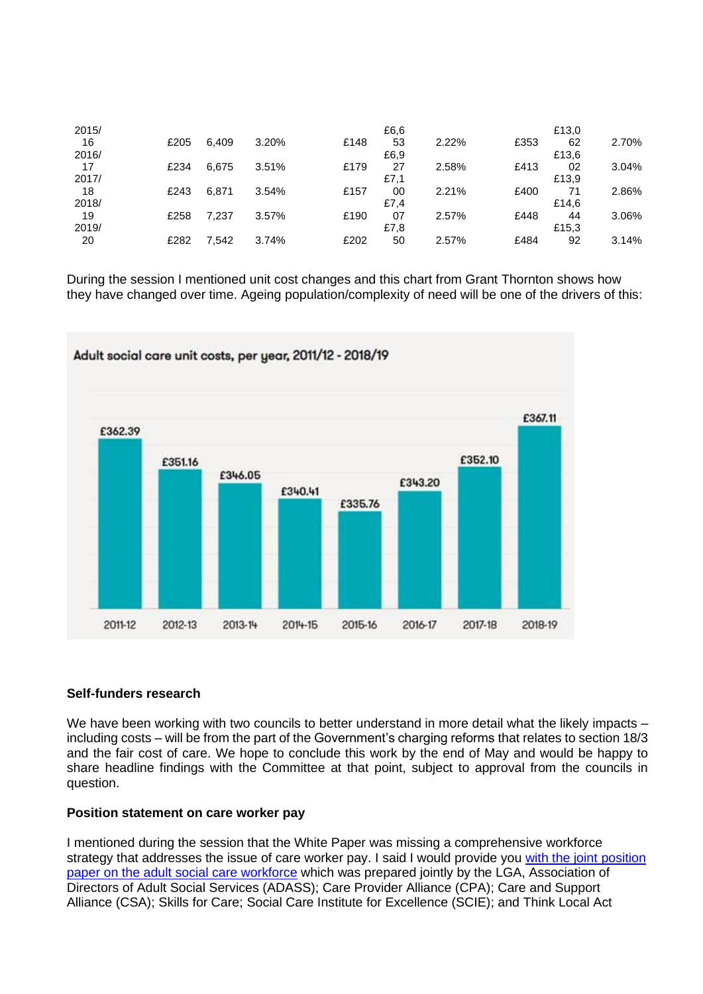| 2015/ |      |       |       |      | £6.6 |       |      | £13,0 |       |
|-------|------|-------|-------|------|------|-------|------|-------|-------|
| 16    | £205 | 6.409 | 3.20% | £148 | 53   | 2.22% | £353 | 62    | 2.70% |
| 2016/ |      |       |       |      | £6,9 |       |      | £13,6 |       |
| 17    | £234 | 6.675 | 3.51% | £179 | 27   | 2.58% | £413 | 02    | 3.04% |
| 2017/ |      |       |       |      | £7,1 |       |      | £13,9 |       |
| 18    | £243 | 6.871 | 3.54% | £157 | 00   | 2.21% | £400 | 71    | 2.86% |
| 2018/ |      |       |       |      | £7.4 |       |      | £14.6 |       |
| 19    | £258 | 7,237 | 3.57% | £190 | 07   | 2.57% | £448 | 44    | 3.06% |
| 2019/ |      |       |       |      | £7,8 |       |      | £15,3 |       |
| 20    | £282 | 7,542 | 3.74% | £202 | 50   | 2.57% | £484 | 92    | 3.14% |

During the session I mentioned unit cost changes and this chart from Grant Thornton shows how they have changed over time. Ageing population/complexity of need will be one of the drivers of this:



# **Self-funders research**

We have been working with two councils to better understand in more detail what the likely impacts – including costs – will be from the part of the Government's charging reforms that relates to section 18/3 and the fair cost of care. We hope to conclude this work by the end of May and would be happy to share headline findings with the Committee at that point, subject to approval from the councils in question.

## **Position statement on care worker pay**

I mentioned during the session that the White Paper was missing a comprehensive workforce strategy that addresses the issue of care worker pay. I said I would provide you with the joint position [paper on the adult social care workforce](https://www.local.gov.uk/about/news/sector-leaders-call-action-social-care-workforce) which was prepared jointly by the LGA, Association of Directors of Adult Social Services (ADASS); Care Provider Alliance (CPA); Care and Support Alliance (CSA); Skills for Care; Social Care Institute for Excellence (SCIE); and Think Local Act